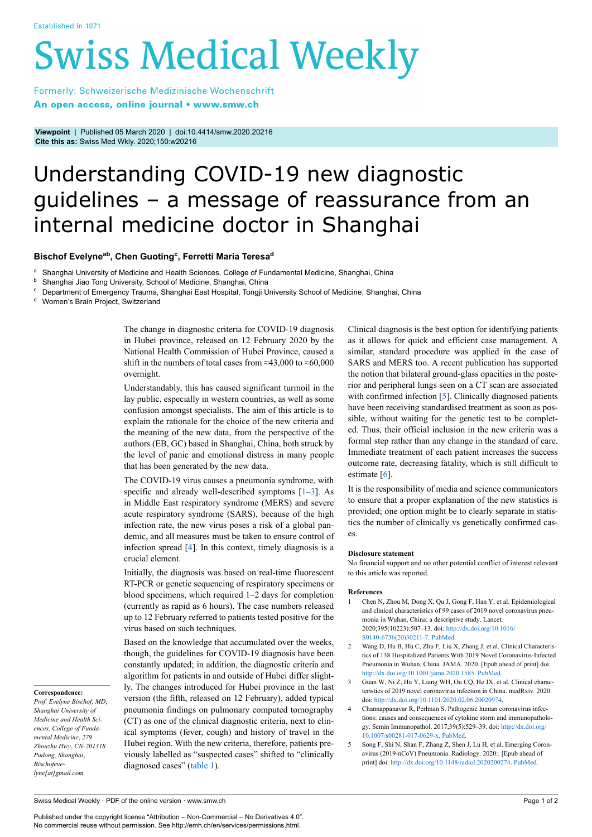# **Swiss Medical Weekly**

Formerly: Schweizerische Medizinische Wochenschrift An open access, online journal • www.smw.ch

**Viewpoint** | Published 05 March 2020 | doi:10.4414/smw.2020.20216 **Cite this as:** Swiss Med Wkly. 2020;150:w20216

# Understanding COVID-19 new diagnostic guidelines – a message of reassurance from an internal medicine doctor in Shanghai

### **Bischof Evelyneab , Chen Guoting<sup>c</sup> , Ferretti Maria Teresa<sup>d</sup>**

<sup>a</sup> Shanghai University of Medicine and Health Sciences, College of Fundamental Medicine, Shanghai, China<br><sup>b</sup> Shanghai, lise Tang University School of Medicine, Shanghai, China

**b** Shanghai Jiao Tong University, School of Medicine, Shanghai, China<br>
C. Department of Emergency Trauma, Shanghai East Hospital, Tongii U

<sup>c</sup> Department of Emergency Trauma, Shanghai East Hospital, Tongji University School of Medicine, Shanghai, China<br><sup>d Momon's Brain Preject, Switzerland</sup>

Women's Brain Project, Switzerland

The change in diagnostic criteria for COVID-19 diagnosis in Hubei province, released on 12 February 2020 by the National Health Commission of Hubei Province, caused a shift in the numbers of total cases from  $\approx$ 43,000 to  $\approx$ 60,000 overnight.

Understandably, this has caused significant turmoil in the lay public, especially in western countries, as well as some confusion amongst specialists. The aim of this article is to explain the rationale for the choice of the new criteria and the meaning of the new data, from the perspective of the authors (EB, GC) based in Shanghai, China, both struck by the level of panic and emotional distress in many people that has been generated by the new data.

The COVID-19 virus causes a pneumonia syndrome, with specific and already well-described symptoms  $[1-3]$  $[1-3]$ . As in Middle East respiratory syndrome (MERS) and severe acute respiratory syndrome (SARS), because of the high infection rate, the new virus poses a risk of a global pandemic, and all measures must be taken to ensure control of infection spread [\[4\]](#page-0-2). In this context, timely diagnosis is a crucial element.

Initially, the diagnosis was based on real-time fluorescent RT-PCR or genetic sequencing of respiratory specimens or blood specimens, which required 1–2 days for completion (currently as rapid as 6 hours). The case numbers released up to 12 February referred to patients tested positive for the virus based on such techniques.

Based on the knowledge that accumulated over the weeks, though, the guidelines for COVID-19 diagnosis have been constantly updated; in addition, the diagnostic criteria and algorithm for patients in and outside of Hubei differ slightly. The changes introduced for Hubei province in the last version (the fifth, released on 12 February), added typical pneumonia findings on pulmonary computed tomography (CT) as one of the clinical diagnostic criteria, next to clinical symptoms (fever, cough) and history of travel in the Hubei region. With the new criteria, therefore, patients previously labelled as "suspected cases" shifted to "clinically diagnosed cases" ([table 1\)](#page-1-0).

Clinical diagnosis is the best option for identifying patients as it allows for quick and efficient case management. A similar, standard procedure was applied in the case of SARS and MERS too. A recent publication has supported the notion that bilateral ground-glass opacities in the posterior and peripheral lungs seen on a CT scan are associated with confirmed infection [[5](#page-0-3)]. Clinically diagnosed patients have been receiving standardised treatment as soon as possible, without waiting for the genetic test to be completed. Thus, their official inclusion in the new criteria was a formal step rather than any change in the standard of care. Immediate treatment of each patient increases the success outcome rate, decreasing fatality, which is still difficult to estimate [\[6\]](#page-1-1).

It is the responsibility of media and science communicators to ensure that a proper explanation of the new statistics is provided; one option might be to clearly separate in statistics the number of clinically vs genetically confirmed cases.

#### **Disclosure statement**

No financial support and no other potential conflict of interest relevant to this article was reported.

#### **References**

- 1 Chen N, Zhou M, Dong X, Qu J, Gong F, Han Y, et al. Epidemiological and clinical characteristics of 99 cases of 2019 novel coronavirus pneumonia in Wuhan, China: a descriptive study. Lancet. 2020;395(10223):507–13. doi: [http://dx.doi.org/10.1016/](http://dx.doi.org/10.1016/S0140-6736(20)30211-7) [S0140-6736\(20\)30211-7.](http://dx.doi.org/10.1016/S0140-6736(20)30211-7) [PubMed.](http://www.ncbi.nlm.nih.gov/entrez/query.fcgi?cmd=Retrieve&db=PubMed&list_uids=32007143&dopt=Abstract)
- 2 Wang D, Hu B, Hu C, Zhu F, Liu X, Zhang J, et al. Clinical Characteristics of 138 Hospitalized Patients With 2019 Novel Coronavirus-Infected Pneumonia in Wuhan, China. JAMA. 2020. [Epub ahead of print] doi: <http://dx.doi.org/10.1001/jama.2020.1585>. [PubMed](http://www.ncbi.nlm.nih.gov/entrez/query.fcgi?cmd=Retrieve&db=PubMed&list_uids=32031570&dopt=Abstract).
- 3 Guan W, Ni Z, Hu Y, Liang WH, Ou CQ, He JX, et al. Clinical characteristics of 2019 novel coronavirus infection in China. medRxiv*.* 2020. doi: [http://dx.doi.org/10.1101/2020.02.06.20020974.](http://dx.doi.org/10.1101/2020.02.06.20020974)
- 4 Channappanavar R, Perlman S. Pathogenic human coronavirus infections: causes and consequences of cytokine storm and immunopathology. Semin Immunopathol. 2017;39(5):529–39. doi: [http://dx.doi.org/](http://dx.doi.org/10.1007/s00281-017-0629-x) [10.1007/s00281-017-0629-x](http://dx.doi.org/10.1007/s00281-017-0629-x). [PubMed.](http://www.ncbi.nlm.nih.gov/entrez/query.fcgi?cmd=Retrieve&db=PubMed&list_uids=28466096&dopt=Abstract)
- 5 Song F, Shi N, Shan F, Zhang Z, Shen J, Lu H, et al. Emerging Coronavirus (2019-nCoV) Pneumonia. Radiology. 2020:. [Epub ahead of print] doi: <http://dx.doi.org/10.1148/radiol.2020200274>. [PubMed.](http://www.ncbi.nlm.nih.gov/entrez/query.fcgi?cmd=Retrieve&db=PubMed&list_uids=32027573&dopt=Abstract)

## <span id="page-0-1"></span><span id="page-0-0"></span>**Correspondence:**

<span id="page-0-3"></span><span id="page-0-2"></span>*Prof. Evelyne Bischof, MD*, *Shanghai University of Medicine and Health Sciences*, *College of Fundamental Medicine*, *279 Zhouzhu Hwy*, *CN-201318 Pudong, Shanghai*, *Bischofevelyne[at]gmail.com*

Published under the copyright license "Attribution – Non-Commercial – No Derivatives 4.0". No commercial reuse without permission. See http://emh.ch/en/services/permissions.html.